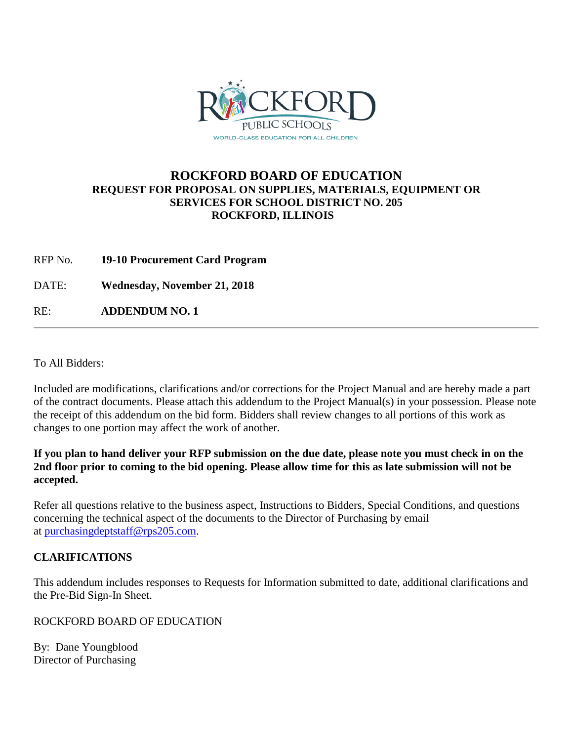

### **ROCKFORD BOARD OF EDUCATION REQUEST FOR PROPOSAL ON SUPPLIES, MATERIALS, EQUIPMENT OR SERVICES FOR SCHOOL DISTRICT NO. 205 ROCKFORD, ILLINOIS**

RFP No. **19-10 Procurement Card Program**

DATE: **Wednesday, November 21, 2018**

RE: **ADDENDUM NO. 1**

To All Bidders:

Included are modifications, clarifications and/or corrections for the Project Manual and are hereby made a part of the contract documents. Please attach this addendum to the Project Manual(s) in your possession. Please note the receipt of this addendum on the bid form. Bidders shall review changes to all portions of this work as changes to one portion may affect the work of another.

**If you plan to hand deliver your RFP submission on the due date, please note you must check in on the 2nd floor prior to coming to the bid opening. Please allow time for this as late submission will not be accepted.**

Refer all questions relative to the business aspect, Instructions to Bidders, Special Conditions, and questions concerning the technical aspect of the documents to the Director of Purchasing by email at [purchasingdeptstaff@rps205.com.](mailto:purchasingdeptstaff@rps205.com)

### **CLARIFICATIONS**

This addendum includes responses to Requests for Information submitted to date, additional clarifications and the Pre-Bid Sign-In Sheet.

ROCKFORD BOARD OF EDUCATION

By: Dane Youngblood Director of Purchasing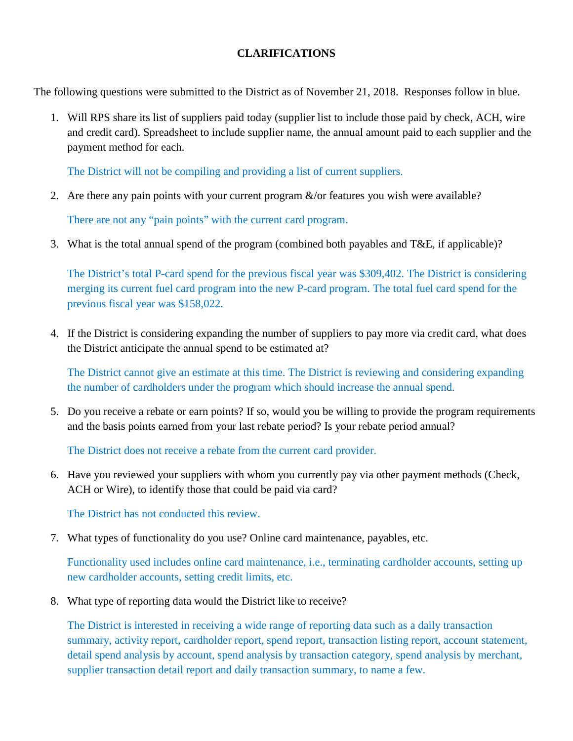### **CLARIFICATIONS**

The following questions were submitted to the District as of November 21, 2018. Responses follow in blue.

1. Will RPS share its list of suppliers paid today (supplier list to include those paid by check, ACH, wire and credit card). Spreadsheet to include supplier name, the annual amount paid to each supplier and the payment method for each.

The District will not be compiling and providing a list of current suppliers.

2. Are there any pain points with your current program  $\&$ /or features you wish were available?

There are not any "pain points" with the current card program.

3. What is the total annual spend of the program (combined both payables and T&E, if applicable)?

The District's total P-card spend for the previous fiscal year was \$309,402. The District is considering merging its current fuel card program into the new P-card program. The total fuel card spend for the previous fiscal year was \$158,022.

4. If the District is considering expanding the number of suppliers to pay more via credit card, what does the District anticipate the annual spend to be estimated at?

The District cannot give an estimate at this time. The District is reviewing and considering expanding the number of cardholders under the program which should increase the annual spend.

5. Do you receive a rebate or earn points? If so, would you be willing to provide the program requirements and the basis points earned from your last rebate period? Is your rebate period annual?

The District does not receive a rebate from the current card provider.

6. Have you reviewed your suppliers with whom you currently pay via other payment methods (Check, ACH or Wire), to identify those that could be paid via card?

The District has not conducted this review.

7. What types of functionality do you use? Online card maintenance, payables, etc.

Functionality used includes online card maintenance, i.e., terminating cardholder accounts, setting up new cardholder accounts, setting credit limits, etc.

8. What type of reporting data would the District like to receive?

The District is interested in receiving a wide range of reporting data such as a daily transaction summary, activity report, cardholder report, spend report, transaction listing report, account statement, detail spend analysis by account, spend analysis by transaction category, spend analysis by merchant, supplier transaction detail report and daily transaction summary, to name a few.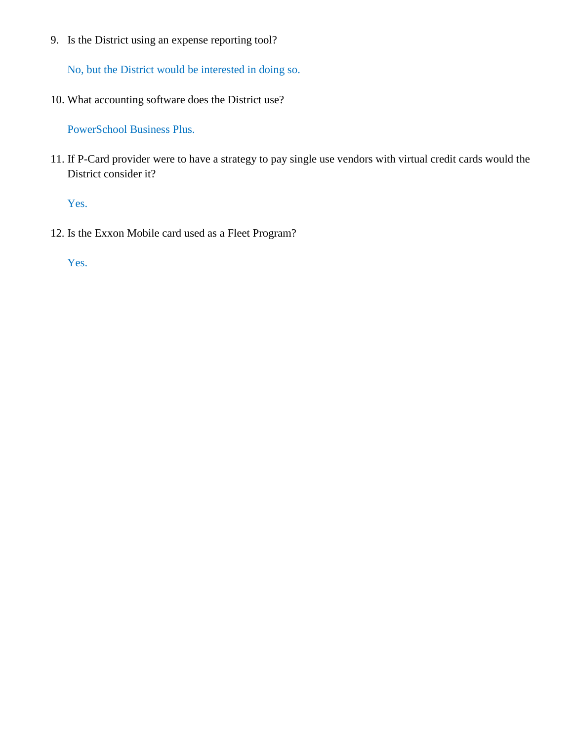9. Is the District using an expense reporting tool?

No, but the District would be interested in doing so.

10. What accounting software does the District use?

PowerSchool Business Plus.

11. If P-Card provider were to have a strategy to pay single use vendors with virtual credit cards would the District consider it?

Yes.

12. Is the Exxon Mobile card used as a Fleet Program?

Yes.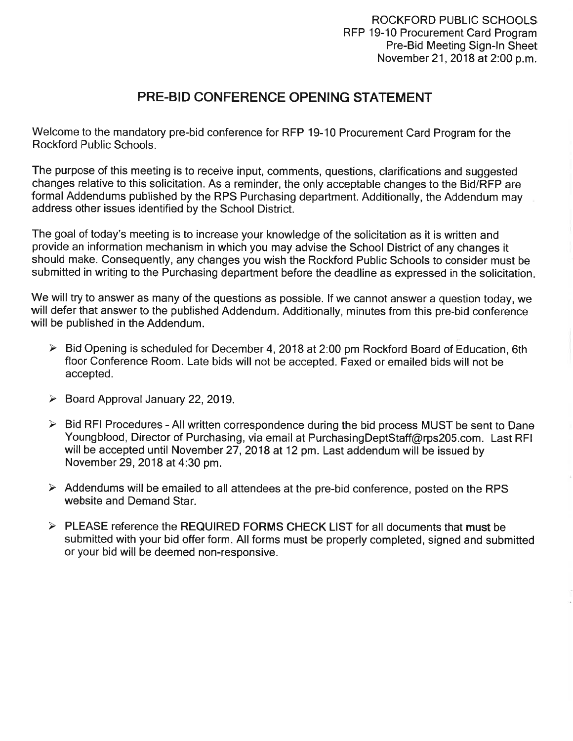### **PRE-BID CONFERENCE OPENING STATEMENT**

Welcome to the mandatory pre-bid conference for RFP 19-10 Procurement Card Program for the **Rockford Public Schools.** 

The purpose of this meeting is to receive input, comments, questions, clarifications and suggested changes relative to this solicitation. As a reminder, the only acceptable changes to the Bid/RFP are formal Addendums published by the RPS Purchasing department. Additionally, the Addendum may address other issues identified by the School District.

The goal of today's meeting is to increase your knowledge of the solicitation as it is written and provide an information mechanism in which you may advise the School District of any changes it should make. Consequently, any changes you wish the Rockford Public Schools to consider must be submitted in writing to the Purchasing department before the deadline as expressed in the solicitation.

We will try to answer as many of the questions as possible. If we cannot answer a question today, we will defer that answer to the published Addendum. Additionally, minutes from this pre-bid conference will be published in the Addendum.

- $\triangleright$  Bid Opening is scheduled for December 4, 2018 at 2:00 pm Rockford Board of Education, 6th floor Conference Room. Late bids will not be accepted. Faxed or emailed bids will not be accepted.
- $\triangleright$  Board Approval January 22, 2019.
- $\triangleright$  Bid RFI Procedures All written correspondence during the bid process MUST be sent to Dane Youngblood, Director of Purchasing, via email at PurchasingDeptStaff@rps205.com. Last RFI will be accepted until November 27, 2018 at 12 pm. Last addendum will be issued by November 29, 2018 at 4:30 pm.
- $\triangleright$  Addendums will be emailed to all attendees at the pre-bid conference, posted on the RPS website and Demand Star.
- $\triangleright$  PLEASE reference the REQUIRED FORMS CHECK LIST for all documents that must be submitted with your bid offer form. All forms must be properly completed, signed and submitted or your bid will be deemed non-responsive.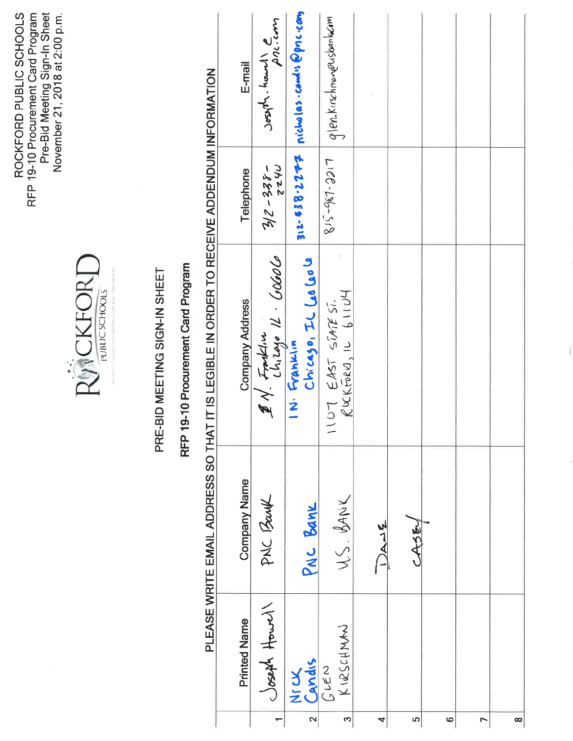ROCKFORD PUBLIC SCHOOLS<br>RFP 19-10 Procurement Card Program<br>Pre-Bid Meeting Sign-In Sheet<br>November 21, 2018 at 2:00 p.m.



### PRE-BID MEETING SIGN-IN SHEET

## RFP 19-10 Procurement Card Program

# PLEASE WRITE EMAIL ADDRESS SO THAT IT IS I FGIBI F IN ORDER TO RECEIVE ADDENDI IM INFORMATION

|                   | )<br>1              |                     |                                                |              |                                          |
|-------------------|---------------------|---------------------|------------------------------------------------|--------------|------------------------------------------|
|                   | <b>Printed Name</b> | <b>Company Name</b> | <b>Company Address</b>                         | Telephone    | E-mail                                   |
|                   | Joseph Howel        | PNC Bank            | 2 N. Fraksin<br>Chizago IL Gobolo              | $-255 - 215$ | Joseph. hound e                          |
| $\mathbf{\Omega}$ | Nick                | PNC BANK            | $Ch(0.6)$ on $D_1$ or $\omega$<br>IN. Franklin |              | $312 - 538.2777$ nicholas.com/15Ppnc.com |
| S                 | KIRSCHNAN           | U.S. BANK           | $R$ uckroeu, 10 61104<br>107 EAST STATEST.     | LICC-136-518 | glenkirschmon@usbankcim                  |
| 4                 |                     | $3-2$               |                                                |              |                                          |
| 5                 |                     | CASE                |                                                |              |                                          |
| $\bullet$         |                     |                     |                                                |              |                                          |
| $\overline{ }$    |                     |                     |                                                |              |                                          |
| $\infty$          |                     |                     |                                                |              |                                          |